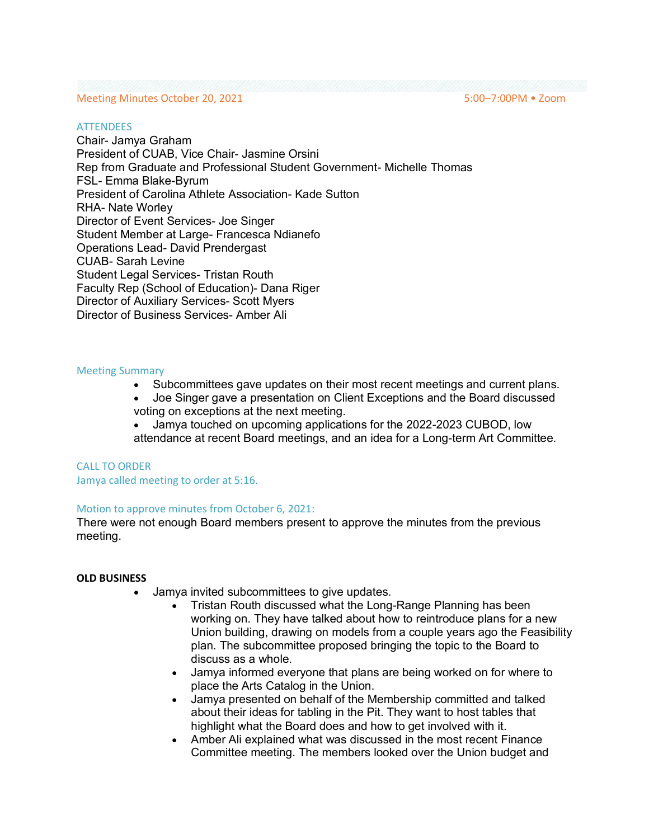## Meeting Minutes October 20, 2021 5:00-7:00PM • Zoom

#### ATTENDEES

Chair- Jamya Graham President of CUAB, Vice Chair- Jasmine Orsini Rep from Graduate and Professional Student Government- Michelle Thomas FSL- Emma Blake-Byrum President of Carolina Athlete Association- Kade Sutton RHA- Nate Worley Director of Event Services- Joe Singer Student Member at Large- Francesca Ndianefo Operations Lead- David Prendergast CUAB- Sarah Levine Student Legal Services- Tristan Routh Faculty Rep (School of Education)- Dana Riger Director of Auxiliary Services- Scott Myers Director of Business Services- Amber Ali

#### Meeting Summary

- Subcommittees gave updates on their most recent meetings and current plans.
- Joe Singer gave a presentation on Client Exceptions and the Board discussed voting on exceptions at the next meeting.
- Jamya touched on upcoming applications for the 2022-2023 CUBOD, low attendance at recent Board meetings, and an idea for a Long-term Art Committee.

## CALL TO ORDER

Jamya called meeting to order at 5:16.

## Motion to approve minutes from October 6, 2021:

There were not enough Board members present to approve the minutes from the previous meeting.

#### **OLD BUSINESS**

- Jamya invited subcommittees to give updates.
	- Tristan Routh discussed what the Long-Range Planning has been working on. They have talked about how to reintroduce plans for a new Union building, drawing on models from a couple years ago the Feasibility plan. The subcommittee proposed bringing the topic to the Board to discuss as a whole.
	- Jamya informed everyone that plans are being worked on for where to place the Arts Catalog in the Union.
	- Jamya presented on behalf of the Membership committed and talked about their ideas for tabling in the Pit. They want to host tables that highlight what the Board does and how to get involved with it.
	- Amber Ali explained what was discussed in the most recent Finance Committee meeting. The members looked over the Union budget and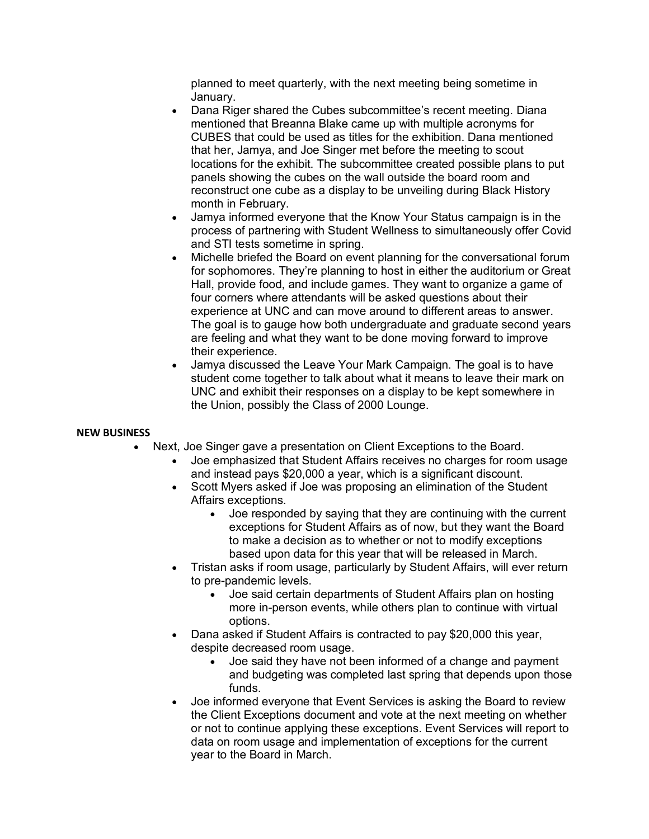planned to meet quarterly, with the next meeting being sometime in January.

- Dana Riger shared the Cubes subcommittee's recent meeting. Diana mentioned that Breanna Blake came up with multiple acronyms for CUBES that could be used as titles for the exhibition. Dana mentioned that her, Jamya, and Joe Singer met before the meeting to scout locations for the exhibit. The subcommittee created possible plans to put panels showing the cubes on the wall outside the board room and reconstruct one cube as a display to be unveiling during Black History month in February.
- Jamya informed everyone that the Know Your Status campaign is in the process of partnering with Student Wellness to simultaneously offer Covid and STI tests sometime in spring.
- Michelle briefed the Board on event planning for the conversational forum for sophomores. They're planning to host in either the auditorium or Great Hall, provide food, and include games. They want to organize a game of four corners where attendants will be asked questions about their experience at UNC and can move around to different areas to answer. The goal is to gauge how both undergraduate and graduate second years are feeling and what they want to be done moving forward to improve their experience.
- Jamya discussed the Leave Your Mark Campaign. The goal is to have student come together to talk about what it means to leave their mark on UNC and exhibit their responses on a display to be kept somewhere in the Union, possibly the Class of 2000 Lounge.

# **NEW BUSINESS**

- Next, Joe Singer gave a presentation on Client Exceptions to the Board.
	- Joe emphasized that Student Affairs receives no charges for room usage and instead pays \$20,000 a year, which is a significant discount.
	- Scott Myers asked if Joe was proposing an elimination of the Student Affairs exceptions.
		- Joe responded by saying that they are continuing with the current exceptions for Student Affairs as of now, but they want the Board to make a decision as to whether or not to modify exceptions based upon data for this year that will be released in March.
	- Tristan asks if room usage, particularly by Student Affairs, will ever return to pre-pandemic levels.
		- Joe said certain departments of Student Affairs plan on hosting more in-person events, while others plan to continue with virtual options.
	- Dana asked if Student Affairs is contracted to pay \$20,000 this year, despite decreased room usage.
		- Joe said they have not been informed of a change and payment and budgeting was completed last spring that depends upon those funds.
	- Joe informed everyone that Event Services is asking the Board to review the Client Exceptions document and vote at the next meeting on whether or not to continue applying these exceptions. Event Services will report to data on room usage and implementation of exceptions for the current year to the Board in March.